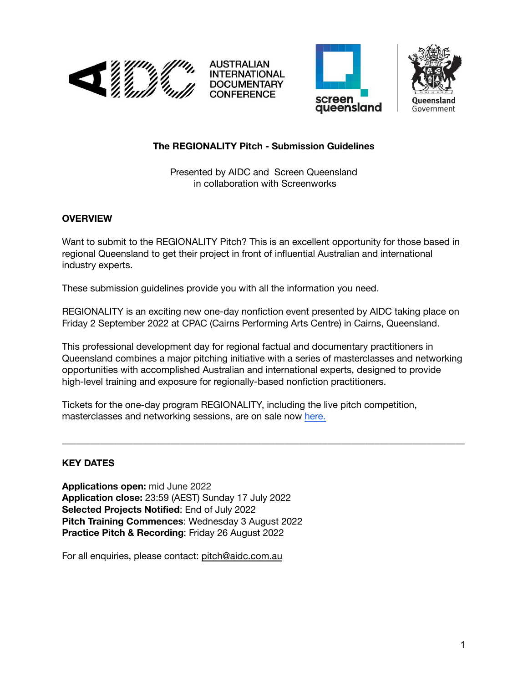







## **The REGIONALITY Pitch - Submission Guidelines**

Presented by AIDC and Screen Queensland in collaboration with Screenworks

### **OVERVIEW**

Want to submit to the REGIONALITY Pitch? This is an excellent opportunity for those based in regional Queensland to get their project in front of influential Australian and international industry experts.

These submission guidelines provide you with all the information you need.

REGIONALITY is an exciting new one-day nonfiction event presented by AIDC taking place on Friday 2 September 2022 at CPAC (Cairns Performing Arts Centre) in Cairns, Queensland.

This professional development day for regional factual and documentary practitioners in Queensland combines a major pitching initiative with a series of masterclasses and networking opportunities with accomplished Australian and international experts, designed to provide high-level training and exposure for regionally-based nonfiction practitioners.

\_\_\_\_\_\_\_\_\_\_\_\_\_\_\_\_\_\_\_\_\_\_\_\_\_\_\_\_\_\_\_\_\_\_\_\_\_\_\_\_\_\_\_\_\_\_\_\_\_\_\_\_\_\_\_\_\_\_\_\_\_\_\_\_\_\_\_\_\_\_\_\_\_\_\_\_\_\_\_\_\_\_\_\_\_

Tickets for the one-day program REGIONALITY, including the live pitch competition, masterclasses and networking sessions, are on sale now [here.](https://www.aidc.com.au/initiatives/regionality-cairns/)

# **KEY DATES**

**Applications open:** mid June 2022 **Application close:** 23:59 (AEST) Sunday 17 July 2022 **Selected Projects Notified**: End of July 2022 **Pitch Training Commences**: Wednesday 3 August 2022 **Practice Pitch & Recording**: Friday 26 August 2022

For all enquiries, please contact: [pitch@aidc.com.au](mailto:pitch@aidc.com.au)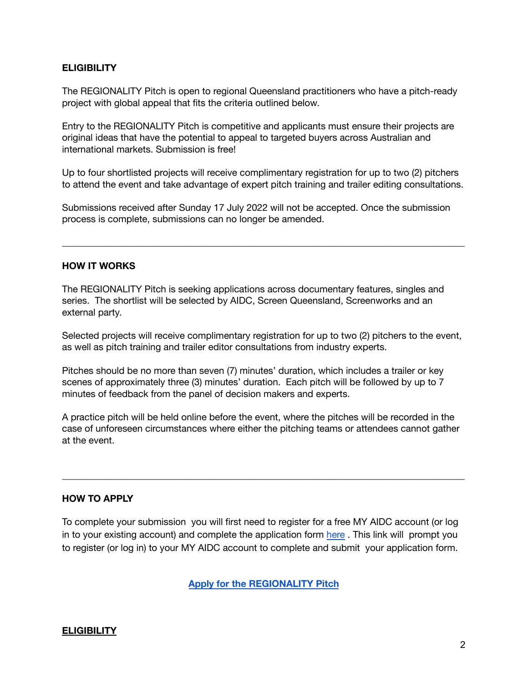#### **ELIGIBILITY**

The REGIONALITY Pitch is open to regional Queensland practitioners who have a pitch-ready project with global appeal that fits the criteria outlined below.

Entry to the REGIONALITY Pitch is competitive and applicants must ensure their projects are original ideas that have the potential to appeal to targeted buyers across Australian and international markets. Submission is free!

Up to four shortlisted projects will receive complimentary registration for up to two (2) pitchers to attend the event and take advantage of expert pitch training and trailer editing consultations.

Submissions received after Sunday 17 July 2022 will not be accepted. Once the submission process is complete, submissions can no longer be amended.

\_\_\_\_\_\_\_\_\_\_\_\_\_\_\_\_\_\_\_\_\_\_\_\_\_\_\_\_\_\_\_\_\_\_\_\_\_\_\_\_\_\_\_\_\_\_\_\_\_\_\_\_\_\_\_\_\_\_\_\_\_\_\_\_\_\_\_\_\_\_\_\_\_\_\_\_\_\_\_\_\_\_\_\_\_

#### **HOW IT WORKS**

The REGIONALITY Pitch is seeking applications across documentary features, singles and series. The shortlist will be selected by AIDC, Screen Queensland, Screenworks and an external party.

Selected projects will receive complimentary registration for up to two (2) pitchers to the event, as well as pitch training and trailer editor consultations from industry experts.

Pitches should be no more than seven (7) minutes' duration, which includes a trailer or key scenes of approximately three (3) minutes' duration. Each pitch will be followed by up to 7 minutes of feedback from the panel of decision makers and experts.

A practice pitch will be held online before the event, where the pitches will be recorded in the case of unforeseen circumstances where either the pitching teams or attendees cannot gather at the event.

\_\_\_\_\_\_\_\_\_\_\_\_\_\_\_\_\_\_\_\_\_\_\_\_\_\_\_\_\_\_\_\_\_\_\_\_\_\_\_\_\_\_\_\_\_\_\_\_\_\_\_\_\_\_\_\_\_\_\_\_\_\_\_\_\_\_\_\_\_\_\_\_\_\_\_\_\_\_\_\_\_\_\_\_\_

#### **HOW TO APPLY**

To complete your submission you will first need to register for a free MY AIDC account (or log in to your existing account) and complete the application form [here](https://aidc-forms.fiona-app.com/forms/487cec78-40c0-421a-8c1f-c544b3b4808e?culture=en-US) . This link will prompt you to register (or log in) to your MY AIDC account to complete and submit your application form.

**Apply for the [REGIONALITY](https://www.aidc.com.au/initiatives/regionality-cairns/) Pitch**

### **ELIGIBILITY**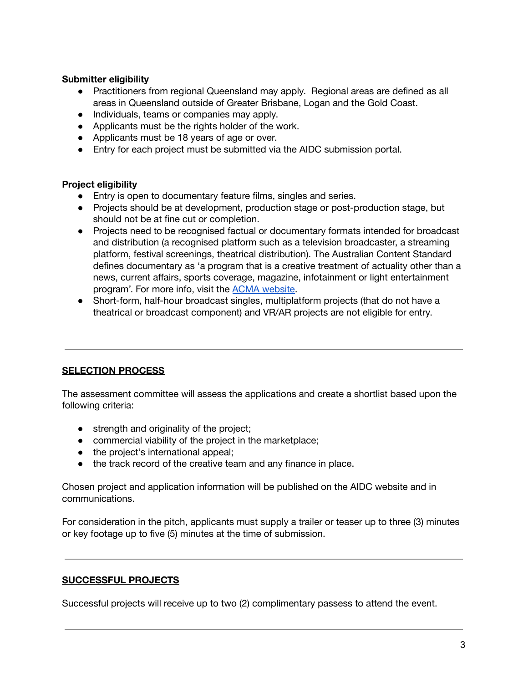#### **Submitter eligibility**

- Practitioners from regional Queensland may apply. Regional areas are defined as all areas in Queensland outside of Greater Brisbane, Logan and the Gold Coast.
- Individuals, teams or companies may apply.
- Applicants must be the rights holder of the work.
- Applicants must be 18 years of age or over.
- Entry for each project must be submitted via the AIDC submission portal.

#### **Project eligibility**

- Entry is open to documentary feature films, singles and series.
- Projects should be at development, production stage or post-production stage, but should not be at fine cut or completion.
- Projects need to be recognised factual or documentary formats intended for broadcast and distribution (a recognised platform such as a television broadcaster, a streaming platform, festival screenings, theatrical distribution). The Australian Content Standard defines documentary as 'a program that is a creative treatment of actuality other than a news, current affairs, sports coverage, magazine, infotainment or light entertainment program'. For more info, visit the ACMA [website](https://www.acma.gov.au/publications/2021-06/guide/documentary-guidelines).
- Short-form, half-hour broadcast singles, multiplatform projects (that do not have a theatrical or broadcast component) and VR/AR projects are not eligible for entry.

### **SELECTION PROCESS**

The assessment committee will assess the applications and create a shortlist based upon the following criteria:

- strength and originality of the project;
- commercial viability of the project in the marketplace;
- the project's international appeal;
- the track record of the creative team and any finance in place.

Chosen project and application information will be published on the AIDC website and in communications.

For consideration in the pitch, applicants must supply a trailer or teaser up to three (3) minutes or key footage up to five (5) minutes at the time of submission.

#### **SUCCESSFUL PROJECTS**

Successful projects will receive up to two (2) complimentary passess to attend the event.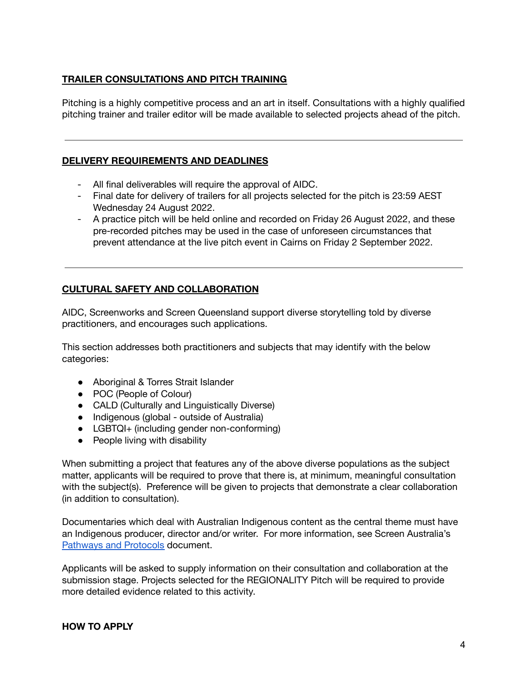#### **TRAILER CONSULTATIONS AND PITCH TRAINING**

Pitching is a highly competitive process and an art in itself. Consultations with a highly qualified pitching trainer and trailer editor will be made available to selected projects ahead of the pitch.

#### **DELIVERY REQUIREMENTS AND DEADLINES**

- All final deliverables will require the approval of AIDC.
- Final date for delivery of trailers for all projects selected for the pitch is 23:59 AEST Wednesday 24 August 2022.
- A practice pitch will be held online and recorded on Friday 26 August 2022, and these pre-recorded pitches may be used in the case of unforeseen circumstances that prevent attendance at the live pitch event in Cairns on Friday 2 September 2022.

### **CULTURAL SAFETY AND COLLABORATION**

AIDC, Screenworks and Screen Queensland support diverse storytelling told by diverse practitioners, and encourages such applications.

This section addresses both practitioners and subjects that may identify with the below categories:

- Aboriginal & Torres Strait Islander
- POC (People of Colour)
- CALD (Culturally and Linguistically Diverse)
- Indigenous (global outside of Australia)
- LGBTQI+ (including gender non-conforming)
- People living with disability

When submitting a project that features any of the above diverse populations as the subject matter, applicants will be required to prove that there is, at minimum, meaningful consultation with the subject(s). Preference will be given to projects that demonstrate a clear collaboration (in addition to consultation).

Documentaries which deal with Australian Indigenous content as the central theme must have an Indigenous producer, director and/or writer. For more information, see Screen Australia's [Pathways](https://www.screenaustralia.gov.au/getmedia/16e5ade3-bbca-4db2-a433-94bcd4c45434/Pathways-and-Protocols.pdf) and Protocols document.

Applicants will be asked to supply information on their consultation and collaboration at the submission stage. Projects selected for the REGIONALITY Pitch will be required to provide more detailed evidence related to this activity.

#### **HOW TO APPLY**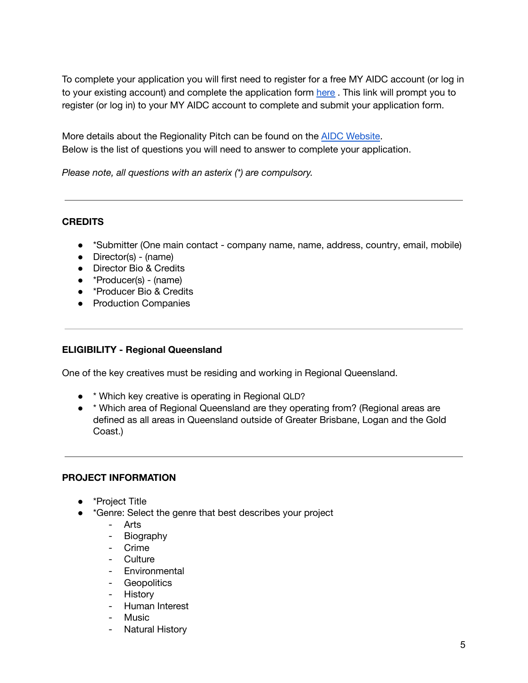To complete your application you will first need to register for a free MY AIDC account (or log in to your existing account) and complete the application form [here](https://www.aidc.com.au/initiatives/regionality-cairns/) . This link will prompt you to register (or log in) to your MY AIDC account to complete and submit your application form.

More details about the Regionality Pitch can be found on the AIDC [Website.](https://www.aidc.com.au/initiatives/regionality-cairns/) Below is the list of questions you will need to answer to complete your application.

*Please note, all questions with an asterix (\*) are compulsory.*

### **CREDITS**

- \*Submitter (One main contact company name, name, address, country, email, mobile)
- Director(s) (name)
- Director Bio & Credits
- \*Producer(s) (name)
- \*Producer Bio & Credits
- Production Companies

#### **ELIGIBILITY - Regional Queensland**

One of the key creatives must be residing and working in Regional Queensland.

- \* Which key creative is operating in Regional QLD?
- \* Which area of Regional Queensland are they operating from? (Regional areas are defined as all areas in Queensland outside of Greater Brisbane, Logan and the Gold Coast.)

### **PROJECT INFORMATION**

- \*Project Title
- \*Genre: Select the genre that best describes your project
	- Arts
	- Biography
	- Crime
	- Culture
	- Environmental
	- Geopolitics
	- History
	- Human Interest
	- Music
	- Natural History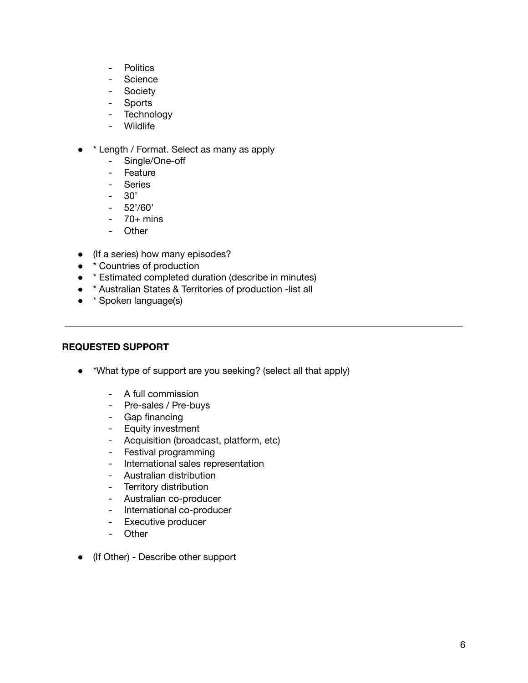- Politics
- Science
- Society
- Sports
- Technology
- Wildlife
- \* Length / Format. Select as many as apply
	- Single/One-off
	- Feature
	- Series
	- 30'
	- $-52'/60'$
	- $-70+$  mins
	- Other
- (If a series) how many episodes?
- **\* Countries of production**
- \* Estimated completed duration (describe in minutes)
- \* Australian States & Territories of production -list all
- \* Spoken language(s)

#### **REQUESTED SUPPORT**

- \*What type of support are you seeking? (select all that apply)
	- A full commission
	- Pre-sales / Pre-buys
	- Gap financing
	- Equity investment
	- Acquisition (broadcast, platform, etc)
	- Festival programming
	- International sales representation
	- Australian distribution
	- Territory distribution
	- Australian co-producer
	- International co-producer
	- Executive producer
	- Other
- (If Other) Describe other support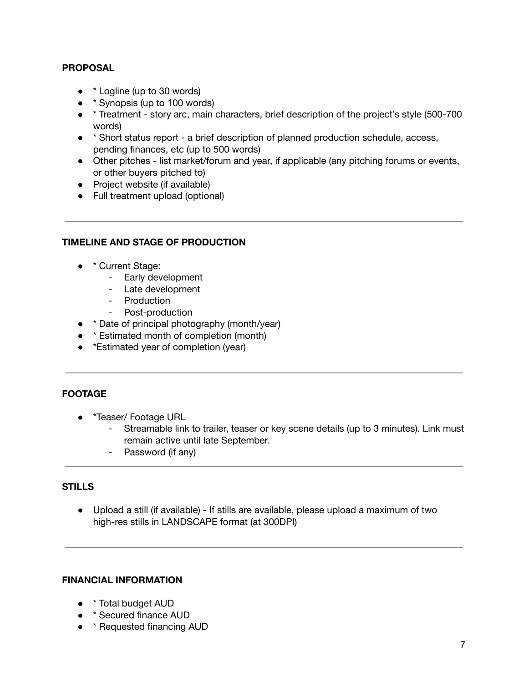#### **PROPOSAL**

- <sup>\*</sup> Logline (up to 30 words)
- **\*** Synopsis (up to 100 words)
- \* Treatment story arc, main characters, brief description of the project's style (500-700 words)
- \* Short status report a brief description of planned production schedule, access, pending finances, etc (up to 500 words)
- Other pitches list market/forum and year, if applicable (any pitching forums or events, or other buyers pitched to)
- Project website (if available)
- Full treatment upload (optional)

#### **TIMELINE AND STAGE OF PRODUCTION**

- \* Current Stage:
	- Early development
	- Late development
	- Production
	- Post-production
- \* Date of principal photography (month/year)
- **\* Estimated month of completion (month)**
- \* Estimated year of completion (year)

### **FOOTAGE**

- \*Teaser/ Footage URL
	- Streamable link to trailer, teaser or key scene details (up to 3 minutes). Link must remain active until late September.
	- Password (if any)

### **STILLS**

● Upload a still (if available) - If stills are available, please upload a maximum of two high-res stills in LANDSCAPE format (at 300DPI)

#### **FINANCIAL INFORMATION**

- \* Total budget AUD
- \* Secured finance AUD
- \* Requested financing AUD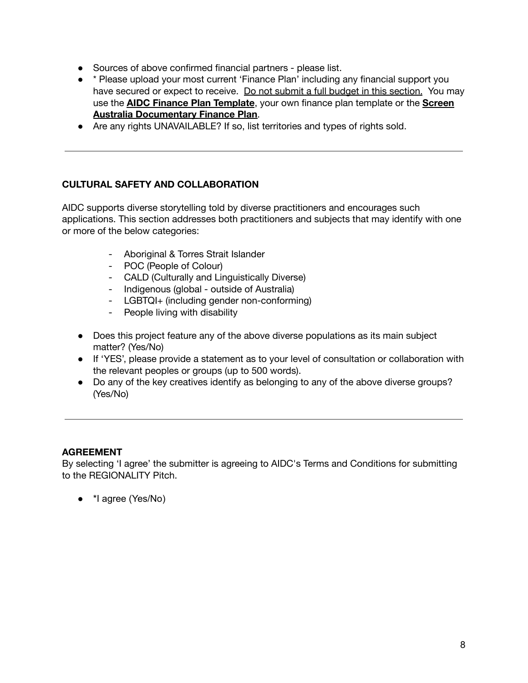- Sources of above confirmed financial partners please list.
- <sup>\*</sup> Please upload your most current 'Finance Plan' including any financial support you have secured or expect to receive. Do not submit a full budget in this section. You may use the **AIDC Finance Plan [Template](https://www.aidc.com.au/wp-content/uploads/2020/10/AIDC-2021-Finance-Plan-template.xlsx)**, your own finance plan template or the **[Screen](https://www.screenaustralia.gov.au/getmedia/1b66eca3-048b-4885-a4f9-b28e5ea1f91d/Finance-template-documentary.xls?ext=.xls) Australia [Documentary](https://www.screenaustralia.gov.au/getmedia/1b66eca3-048b-4885-a4f9-b28e5ea1f91d/Finance-template-documentary.xls?ext=.xls) Finance Plan**.
- Are any rights UNAVAILABLE? If so, list territories and types of rights sold.

### **CULTURAL SAFETY AND COLLABORATION**

AIDC supports diverse storytelling told by diverse practitioners and encourages such applications. This section addresses both practitioners and subjects that may identify with one or more of the below categories:

- Aboriginal & Torres Strait Islander
- POC (People of Colour)
- CALD (Culturally and Linguistically Diverse)
- Indigenous (global outside of Australia)
- LGBTQI+ (including gender non-conforming)
- People living with disability
- Does this project feature any of the above diverse populations as its main subject matter? (Yes/No)
- If 'YES', please provide a statement as to your level of consultation or collaboration with the relevant peoples or groups (up to 500 words).
- Do any of the key creatives identify as belonging to any of the above diverse groups? (Yes/No)

### **AGREEMENT**

By selecting 'I agree' the submitter is agreeing to AIDC's Terms and Conditions for submitting to the REGIONALITY Pitch.

● \*I agree (Yes/No)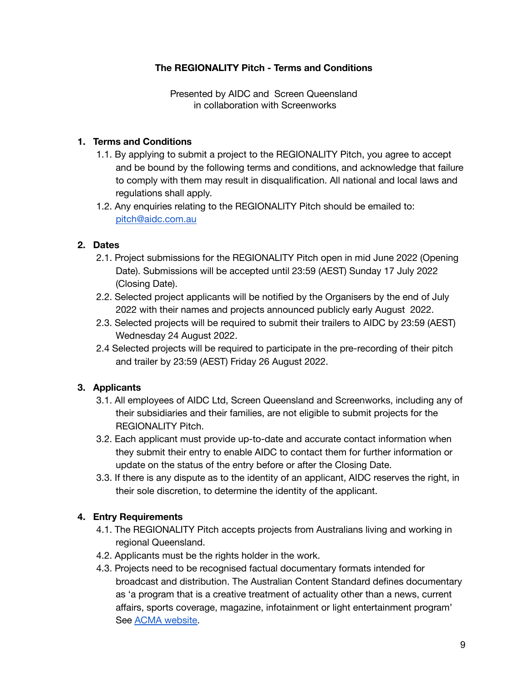## **The REGIONALITY Pitch - Terms and Conditions**

Presented by AIDC and Screen Queensland in collaboration with Screenworks

#### **1. Terms and Conditions**

- 1.1. By applying to submit a project to the REGIONALITY Pitch, you agree to accept and be bound by the following terms and conditions, and acknowledge that failure to comply with them may result in disqualification. All national and local laws and regulations shall apply.
- 1.2. Any enquiries relating to the REGIONALITY Pitch should be emailed to: [pitch@aidc.com.au](mailto:pitch@aidc.com.au)

#### **2. Dates**

- 2.1. Project submissions for the REGIONALITY Pitch open in mid June 2022 (Opening Date). Submissions will be accepted until 23:59 (AEST) Sunday 17 July 2022 (Closing Date).
- 2.2. Selected project applicants will be notified by the Organisers by the end of July 2022 with their names and projects announced publicly early August 2022.
- 2.3. Selected projects will be required to submit their trailers to AIDC by 23:59 (AEST) Wednesday 24 August 2022.
- 2.4 Selected projects will be required to participate in the pre-recording of their pitch and trailer by 23:59 (AEST) Friday 26 August 2022.

### **3. Applicants**

- 3.1. All employees of AIDC Ltd, Screen Queensland and Screenworks, including any of their subsidiaries and their families, are not eligible to submit projects for the REGIONALITY Pitch.
- 3.2. Each applicant must provide up-to-date and accurate contact information when they submit their entry to enable AIDC to contact them for further information or update on the status of the entry before or after the Closing Date.
- 3.3. If there is any dispute as to the identity of an applicant, AIDC reserves the right, in their sole discretion, to determine the identity of the applicant.

### **4. Entry Requirements**

- 4.1. The REGIONALITY Pitch accepts projects from Australians living and working in regional Queensland.
- 4.2. Applicants must be the rights holder in the work.
- 4.3. Projects need to be recognised factual documentary formats intended for broadcast and distribution. The Australian Content Standard defines documentary as 'a program that is a creative treatment of actuality other than a news, current affairs, sports coverage, magazine, infotainment or light entertainment program' See ACMA [website.](https://www.acma.gov.au/publications/2021-06/guide/documentary-guidelines)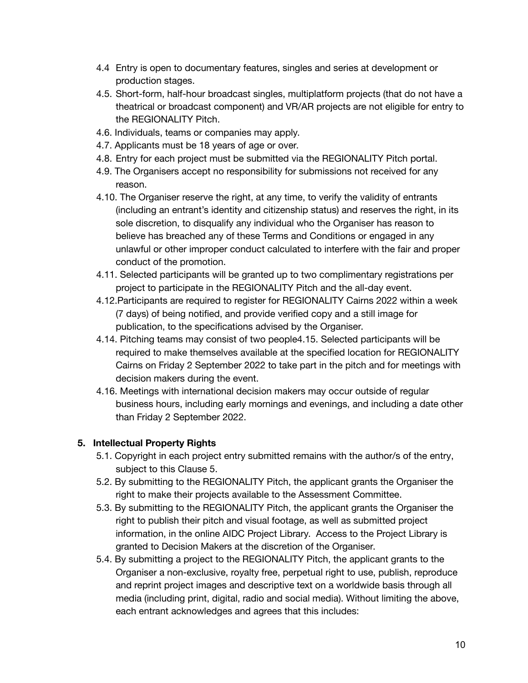- 4.4 Entry is open to documentary features, singles and series at development or production stages.
- 4.5. Short-form, half-hour broadcast singles, multiplatform projects (that do not have a theatrical or broadcast component) and VR/AR projects are not eligible for entry to the REGIONALITY Pitch.
- 4.6. Individuals, teams or companies may apply.
- 4.7. Applicants must be 18 years of age or over.
- 4.8. Entry for each project must be submitted via the REGIONALITY Pitch portal.
- 4.9. The Organisers accept no responsibility for submissions not received for any reason.
- 4.10. The Organiser reserve the right, at any time, to verify the validity of entrants (including an entrant's identity and citizenship status) and reserves the right, in its sole discretion, to disqualify any individual who the Organiser has reason to believe has breached any of these Terms and Conditions or engaged in any unlawful or other improper conduct calculated to interfere with the fair and proper conduct of the promotion.
- 4.11. Selected participants will be granted up to two complimentary registrations per project to participate in the REGIONALITY Pitch and the all-day event.
- 4.12.Participants are required to register for REGIONALITY Cairns 2022 within a week (7 days) of being notified, and provide verified copy and a still image for publication, to the specifications advised by the Organiser.
- 4.14. Pitching teams may consist of two people4.15. Selected participants will be required to make themselves available at the specified location for REGIONALITY Cairns on Friday 2 September 2022 to take part in the pitch and for meetings with decision makers during the event.
- 4.16. Meetings with international decision makers may occur outside of regular business hours, including early mornings and evenings, and including a date other than Friday 2 September 2022.

# **5. Intellectual Property Rights**

- 5.1. Copyright in each project entry submitted remains with the author/s of the entry, subject to this Clause 5.
- 5.2. By submitting to the REGIONALITY Pitch, the applicant grants the Organiser the right to make their projects available to the Assessment Committee.
- 5.3. By submitting to the REGIONALITY Pitch, the applicant grants the Organiser the right to publish their pitch and visual footage, as well as submitted project information, in the online AIDC Project Library. Access to the Project Library is granted to Decision Makers at the discretion of the Organiser.
- 5.4. By submitting a project to the REGIONALITY Pitch, the applicant grants to the Organiser a non-exclusive, royalty free, perpetual right to use, publish, reproduce and reprint project images and descriptive text on a worldwide basis through all media (including print, digital, radio and social media). Without limiting the above, each entrant acknowledges and agrees that this includes: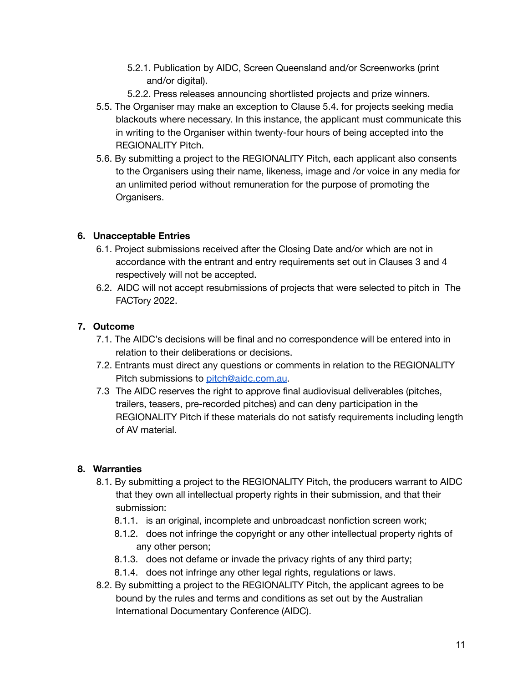- 5.2.1. Publication by AIDC, Screen Queensland and/or Screenworks (print and/or digital).
- 5.2.2. Press releases announcing shortlisted projects and prize winners.
- 5.5. The Organiser may make an exception to Clause 5.4. for projects seeking media blackouts where necessary. In this instance, the applicant must communicate this in writing to the Organiser within twenty-four hours of being accepted into the REGIONALITY Pitch.
- 5.6. By submitting a project to the REGIONALITY Pitch, each applicant also consents to the Organisers using their name, likeness, image and /or voice in any media for an unlimited period without remuneration for the purpose of promoting the Organisers.

## **6. Unacceptable Entries**

- 6.1. Project submissions received after the Closing Date and/or which are not in accordance with the entrant and entry requirements set out in Clauses 3 and 4 respectively will not be accepted.
- 6.2. AIDC will not accept resubmissions of projects that were selected to pitch in The FACTory 2022.

## **7. Outcome**

- 7.1. The AIDC's decisions will be final and no correspondence will be entered into in relation to their deliberations or decisions.
- 7.2. Entrants must direct any questions or comments in relation to the REGIONALITY Pitch submissions to [pitch@aidc.com.au](mailto:pitch@aidc.com.au).
- 7.3 The AIDC reserves the right to approve final audiovisual deliverables (pitches, trailers, teasers, pre-recorded pitches) and can deny participation in the REGIONALITY Pitch if these materials do not satisfy requirements including length of AV material.

# **8. Warranties**

- 8.1. By submitting a project to the REGIONALITY Pitch, the producers warrant to AIDC that they own all intellectual property rights in their submission, and that their submission:
	- 8.1.1. is an original, incomplete and unbroadcast nonfiction screen work;
	- 8.1.2. does not infringe the copyright or any other intellectual property rights of any other person;
	- 8.1.3. does not defame or invade the privacy rights of any third party;
	- 8.1.4. does not infringe any other legal rights, regulations or laws.
- 8.2. By submitting a project to the REGIONALITY Pitch, the applicant agrees to be bound by the rules and terms and conditions as set out by the Australian International Documentary Conference (AIDC).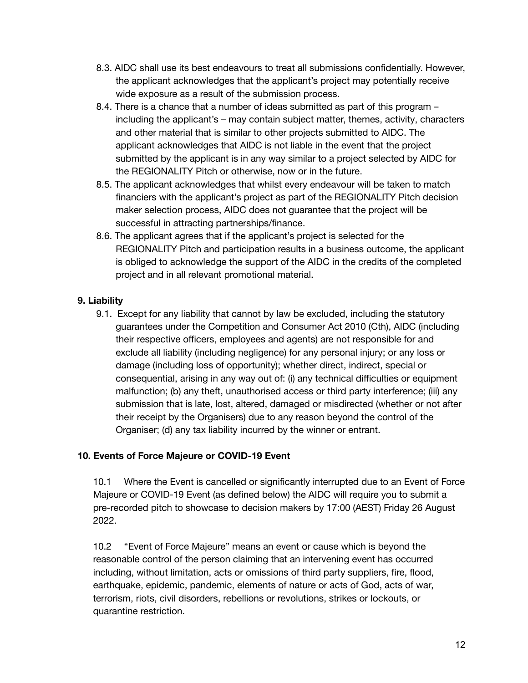- 8.3. AIDC shall use its best endeavours to treat all submissions confidentially. However, the applicant acknowledges that the applicant's project may potentially receive wide exposure as a result of the submission process.
- 8.4. There is a chance that a number of ideas submitted as part of this program including the applicant's – may contain subject matter, themes, activity, characters and other material that is similar to other projects submitted to AIDC. The applicant acknowledges that AIDC is not liable in the event that the project submitted by the applicant is in any way similar to a project selected by AIDC for the REGIONALITY Pitch or otherwise, now or in the future.
- 8.5. The applicant acknowledges that whilst every endeavour will be taken to match financiers with the applicant's project as part of the REGIONALITY Pitch decision maker selection process, AIDC does not guarantee that the project will be successful in attracting partnerships/finance.
- 8.6. The applicant agrees that if the applicant's project is selected for the REGIONALITY Pitch and participation results in a business outcome, the applicant is obliged to acknowledge the support of the AIDC in the credits of the completed project and in all relevant promotional material.

# **9. Liability**

9.1. Except for any liability that cannot by law be excluded, including the statutory guarantees under the Competition and Consumer Act 2010 (Cth), AIDC (including their respective officers, employees and agents) are not responsible for and exclude all liability (including negligence) for any personal injury; or any loss or damage (including loss of opportunity); whether direct, indirect, special or consequential, arising in any way out of: (i) any technical difficulties or equipment malfunction; (b) any theft, unauthorised access or third party interference; (iii) any submission that is late, lost, altered, damaged or misdirected (whether or not after their receipt by the Organisers) due to any reason beyond the control of the Organiser; (d) any tax liability incurred by the winner or entrant.

# **10. Events of Force Majeure or COVID-19 Event**

10.1 Where the Event is cancelled or significantly interrupted due to an Event of Force Majeure or COVID-19 Event (as defined below) the AIDC will require you to submit a pre-recorded pitch to showcase to decision makers by 17:00 (AEST) Friday 26 August 2022.

10.2 "Event of Force Majeure" means an event or cause which is beyond the reasonable control of the person claiming that an intervening event has occurred including, without limitation, acts or omissions of third party suppliers, fire, flood, earthquake, epidemic, pandemic, elements of nature or acts of God, acts of war, terrorism, riots, civil disorders, rebellions or revolutions, strikes or lockouts, or quarantine restriction.